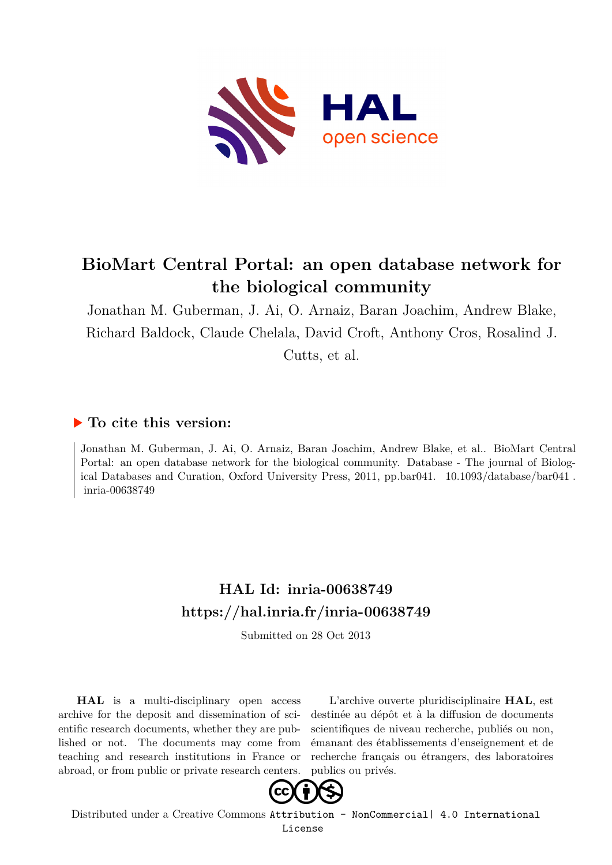

# **BioMart Central Portal: an open database network for the biological community**

Jonathan M. Guberman, J. Ai, O. Arnaiz, Baran Joachim, Andrew Blake, Richard Baldock, Claude Chelala, David Croft, Anthony Cros, Rosalind J.

Cutts, et al.

## **To cite this version:**

Jonathan M. Guberman, J. Ai, O. Arnaiz, Baran Joachim, Andrew Blake, et al.. BioMart Central Portal: an open database network for the biological community. Database - The journal of Biological Databases and Curation, Oxford University Press, 2011, pp.bar041.  $10.1093/d \text{atabase/bar041}$ . inria-00638749

# **HAL Id: inria-00638749 <https://hal.inria.fr/inria-00638749>**

Submitted on 28 Oct 2013

**HAL** is a multi-disciplinary open access archive for the deposit and dissemination of scientific research documents, whether they are published or not. The documents may come from teaching and research institutions in France or abroad, or from public or private research centers.

L'archive ouverte pluridisciplinaire **HAL**, est destinée au dépôt et à la diffusion de documents scientifiques de niveau recherche, publiés ou non, émanant des établissements d'enseignement et de recherche français ou étrangers, des laboratoires publics ou privés.



Distributed under a Creative Commons [Attribution - NonCommercial| 4.0 International](http://creativecommons.org/licenses/by-nc/4.0/) [License](http://creativecommons.org/licenses/by-nc/4.0/)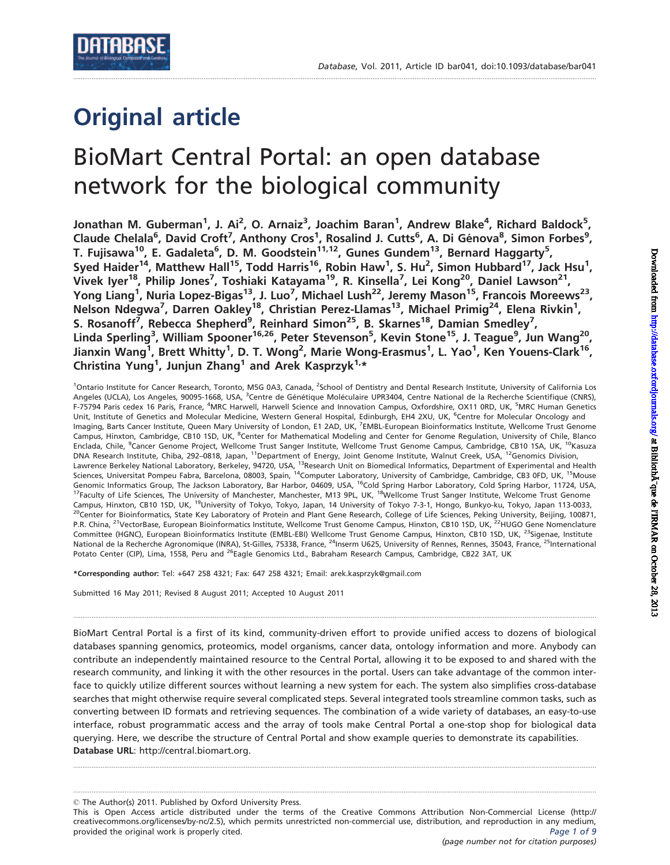# Original article

# BioMart Central Portal: an open database network for the biological community

Jonathan M. Guberman<sup>1</sup>, J. Ai<sup>2</sup>, O. Arnaiz<sup>3</sup>, Joachim Baran<sup>1</sup>, Andrew Blake<sup>4</sup>, Richard Baldock<sup>5</sup>, Claude Chelala<sup>6</sup>, David Croft<sup>7</sup>, Anthony Cros<sup>1</sup>, Rosalind J. Cutts<sup>6</sup>, A. Di Génova<sup>8</sup>, Simon Forbes<sup>9</sup>, T. Fujisawa<sup>10</sup>, E. Gadaleta<sup>6</sup>, D. M. Goodstein<sup>11,12</sup>, Gunes Gundem<sup>13</sup>, Bernard Haggarty<sup>5</sup>, Syed Haider<sup>14</sup>, Matthew Hall<sup>15</sup>, Todd Harris<sup>16</sup>, Robin Haw<sup>1</sup>, S. Hu<sup>2</sup>, Simon Hubbard<sup>17</sup>, Jack Hsu<sup>1</sup>, Vivek Iyer<sup>18</sup>, Philip Jones<sup>7</sup>, Toshiaki Katayama<sup>19</sup>, R. Kinsella<sup>7</sup>, Lei Kong<sup>20</sup>, Daniel Lawson<sup>21</sup>, Yong Liang<sup>1</sup>, Nuria Lopez-Bigas<sup>13</sup>, J. Luo<sup>7</sup>, Michael Lush<sup>22</sup>, Jeremy Mason<sup>15</sup>, Francois Moreews<sup>23</sup>, Nelson Ndegwa<sup>7</sup>, Darren Oakley<sup>18</sup>, Christian Perez-Llamas<sup>13</sup>, Michael Primig<sup>24</sup>, Elena Rivkin<sup>1</sup>, S. Rosanoff<sup>7</sup>, Rebecca Shepherd<sup>9</sup>, Reinhard Simon<sup>25</sup>, B. Skarnes<sup>18</sup>, Damian Smedley<sup>7</sup>, Linda Sperling<sup>3</sup>, William Spooner<sup>16,26</sup>, Peter Stevenson<sup>5</sup>, Kevin Stone<sup>15</sup>, J. Teague<sup>9</sup>, Jun Wang<sup>20</sup>, Jianxin Wang<sup>1</sup>, Brett Whitty<sup>1</sup>, D. T. Wong<sup>2</sup>, Marie Wong-Erasmus<sup>1</sup>, L. Yao<sup>1</sup>, Ken Youens-Clark<sup>16</sup>, Christina Yung<sup>1</sup>, Junjun Zhang<sup>1</sup> and Arek Kasprzyk<sup>1,\*</sup>

.............................................................................................................................................................................................................................................................................................

<sup>1</sup>Ontario Institute for Cancer Research, Toronto, M5G 0A3, Canada, <sup>2</sup>School of Dentistry and Dental Research Institute, University of California Los Angeles (UCLA), Los Angeles, 90095-1668, USA, <sup>3</sup>Centre de Génétique Moléculaire UPR3404, Centre National de la Recherche Scientifique (CNRS), F-75794 Paris cedex 16 Paris, France, <sup>4</sup>MRC Harwell, Harwell Science and Innovation Campus, Oxfordshire, OX11 0RD, UK, <sup>5</sup>MRC Human Genetics Unit, Institute of Genetics and Molecular Medicine, Western General Hospital, Edinburgh, EH4 2XU, UK, <sup>6</sup>Centre for Molecular Oncology and Imaging, Barts Cancer Institute, Queen Mary University of London, E1 2AD, UK, <sup>7</sup>EMBL-European Bioinformatics Institute, Wellcome Trust Genome Campus, Hinxton, Cambridge, CB10 1SD, UK, <sup>8</sup>Center for Mathematical Modeling and Center for Genome Regulation, University of Chile, Blanco Enclada, Chile, <sup>9</sup>Cancer Genome Project, Wellcome Trust Sanger Institute, Wellcome Trust Genome Campus, Cambridge, CB10 1SA, UK, <sup>10</sup>Kasuza DNA Research Institute, Chiba, 292-0818, Japan, <sup>11</sup>Department of Energy, Joint Genome Institute, Walnut Creek, USA, <sup>12</sup>Genomics Division, Lawrence Berkeley National Laboratory, Berkeley, 94720, USA, <sup>13</sup>Research Unit on Biomedical Informatics, Department of Experimental and Health Sciences, Universitat Pompeu Fabra, Barcelona, 08003, Spain, <sup>14</sup>Computer Laboratory, University of Cambridge, Cambridge, CB3 0FD, UK, <sup>15</sup>Mouse Genomic Informatics Group, The Jackson Laboratory, Bar Harbor, 04609, USA, <sup>16</sup>Cold Spring Harbor Laboratory, Cold Spring Harbor, 11724, USA, <sup>17</sup>Faculty of Life Sciences, The University of Manchester, Manchester, M13 9PL, UK, <sup>18</sup>Wellcome Trust Sanger Institute, Welcome Trust Genome Campus, Hinxton, CB10 1SD, UK, <sup>19</sup>University of Tokyo, Tokyo, Japan, 14 University of Tokyo 7-3-1, Hongo, Bunkyo-ku, Tokyo, Japan 113-0033, <sup>20</sup>Center for Bioinformatics, State Key Laboratory of Protein and Plant Gene Research, College of Life Sciences, Peking University, Beijing, 100871, P.R. China, <sup>21</sup>VectorBase, European Bioinformatics Institute, Wellcome Trust Genome Campus, Hinxton, CB10 1SD, UK, <sup>22</sup>HUGO Gene Nomenclature Committee (HGNC), European Bioinformatics Institute (EMBL-EBI) Wellcome Trust Genome Campus, Hinxton, CB10 1SD, UK, <sup>23</sup>Sigenae, Institute National de la Recherche Agronomique (INRA), St-Gilles, 75338, France, <sup>24</sup>Inserm U625, University of Rennes, Rennes, 35043, France, <sup>25</sup>International Potato Center (CIP), Lima, 1558, Peru and <sup>26</sup>Eagle Genomics Ltd., Babraham Research Campus, Cambridge, CB22 3AT, UK

\*Corresponding author: Tel: +647 258 4321; Fax: 647 258 4321; Email: arek.kasprzyk@gmail.com

Submitted 16 May 2011; Revised 8 August 2011; Accepted 10 August 2011

BioMart Central Portal is a first of its kind, community-driven effort to provide unified access to dozens of biological databases spanning genomics, proteomics, model organisms, cancer data, ontology information and more. Anybody can contribute an independently maintained resource to the Central Portal, allowing it to be exposed to and shared with the research community, and linking it with the other resources in the portal. Users can take advantage of the common interface to quickly utilize different sources without learning a new system for each. The system also simplifies cross-database searches that might otherwise require several complicated steps. Several integrated tools streamline common tasks, such as converting between ID formats and retrieving sequences. The combination of a wide variety of databases, an easy-to-use interface, robust programmatic access and the array of tools make Central Portal a one-stop shop for biological data querying. Here, we describe the structure of Central Portal and show example queries to demonstrate its capabilities. Database URL:<http://central.biomart.org>.

.............................................................................................................................................................................................................................................................................................

 $©$  The Author(s) 2011. Published by Oxford University Press.

.............................................................................................................................................................................................................................................................................................

This is Open Access article distributed under the terms of the Creative Commons Attribution Non-Commercial License (http:// creativecommons.org/licenses/by-nc/2.5), which permits unrestricted non-commercial use, distribution, and reproduction in any medium, provided the original work is properly cited. Page 1 of 9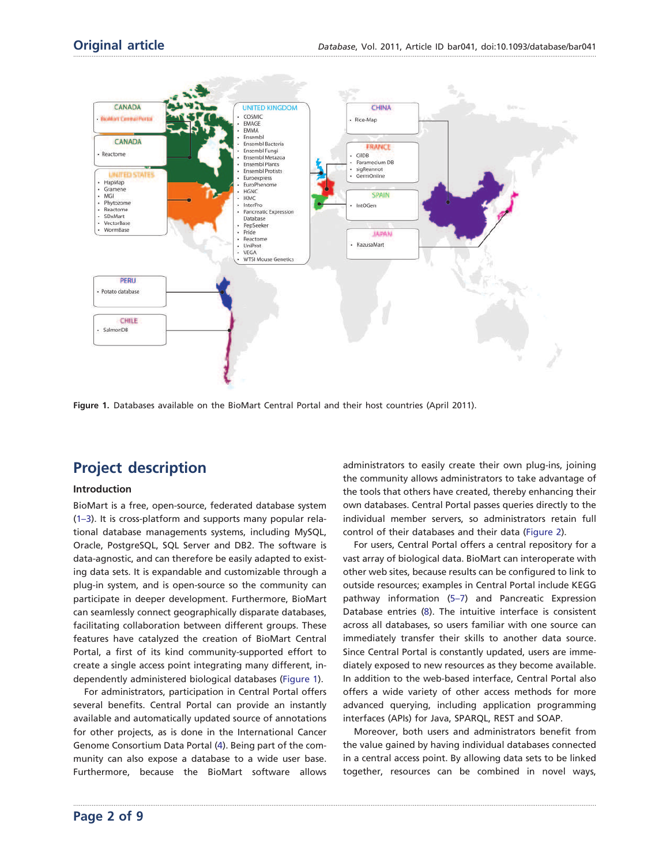

Figure 1. Databases available on the BioMart Central Portal and their host countries (April 2011).

# Project description

#### Introduction

BioMart is a free, open-source, federated database system ([1–3](#page-8-0)). It is cross-platform and supports many popular relational database managements systems, including MySQL, Oracle, PostgreSQL, SQL Server and DB2. The software is data-agnostic, and can therefore be easily adapted to existing data sets. It is expandable and customizable through a plug-in system, and is open-source so the community can participate in deeper development. Furthermore, BioMart can seamlessly connect geographically disparate databases, facilitating collaboration between different groups. These features have catalyzed the creation of BioMart Central Portal, a first of its kind community-supported effort to create a single access point integrating many different, independently administered biological databases (Figure 1).

For administrators, participation in Central Portal offers several benefits. Central Portal can provide an instantly available and automatically updated source of annotations for other projects, as is done in the International Cancer Genome Consortium Data Portal ([4\)](#page-8-0). Being part of the community can also expose a database to a wide user base. Furthermore, because the BioMart software allows

administrators to easily create their own plug-ins, joining the community allows administrators to take advantage of the tools that others have created, thereby enhancing their own databases. Central Portal passes queries directly to the individual member servers, so administrators retain full control of their databases and their data ([Figure 2](#page-3-0)).

For users, Central Portal offers a central repository for a vast array of biological data. BioMart can interoperate with other web sites, because results can be configured to link to outside resources; examples in Central Portal include KEGG pathway information ([5–7](#page-8-0)) and Pancreatic Expression Database entries ([8](#page-9-0)). The intuitive interface is consistent across all databases, so users familiar with one source can immediately transfer their skills to another data source. Since Central Portal is constantly updated, users are immediately exposed to new resources as they become available. In addition to the web-based interface, Central Portal also offers a wide variety of other access methods for more advanced querying, including application programming interfaces (APIs) for Java, SPARQL, REST and SOAP.

Moreover, both users and administrators benefit from the value gained by having individual databases connected in a central access point. By allowing data sets to be linked together, resources can be combined in novel ways,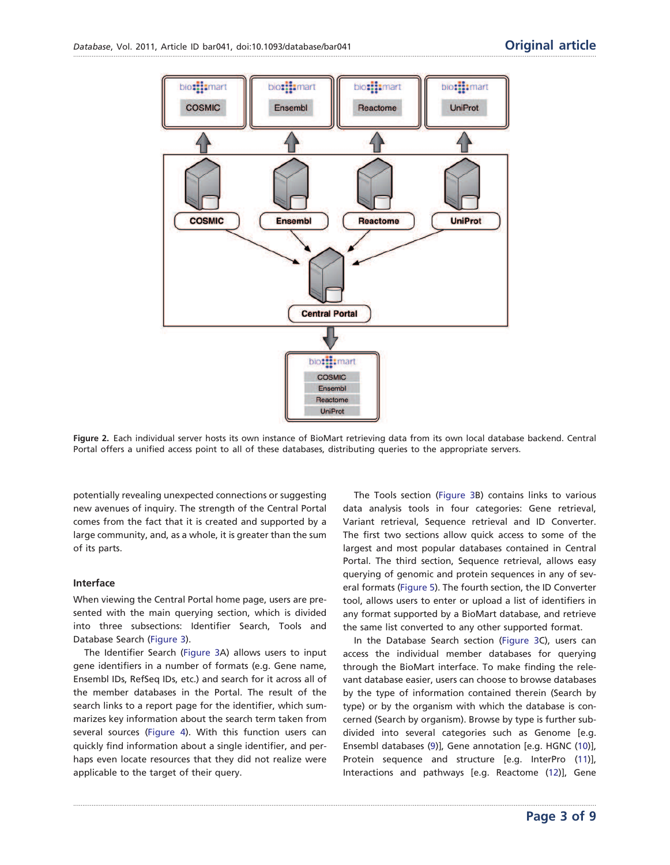<span id="page-3-0"></span>

Figure 2. Each individual server hosts its own instance of BioMart retrieving data from its own local database backend. Central Portal offers a unified access point to all of these databases, distributing queries to the appropriate servers.

potentially revealing unexpected connections or suggesting new avenues of inquiry. The strength of the Central Portal comes from the fact that it is created and supported by a large community, and, as a whole, it is greater than the sum of its parts.

#### Interface

When viewing the Central Portal home page, users are presented with the main querying section, which is divided into three subsections: Identifier Search, Tools and Database Search ([Figure 3\)](#page-4-0).

The Identifier Search ([Figure 3A](#page-4-0)) allows users to input gene identifiers in a number of formats (e.g. Gene name, Ensembl IDs, RefSeq IDs, etc.) and search for it across all of the member databases in the Portal. The result of the search links to a report page for the identifier, which summarizes key information about the search term taken from several sources [\(Figure 4\)](#page-6-0). With this function users can quickly find information about a single identifier, and perhaps even locate resources that they did not realize were applicable to the target of their query.

The Tools section ([Figure 3](#page-4-0)B) contains links to various data analysis tools in four categories: Gene retrieval, Variant retrieval, Sequence retrieval and ID Converter. The first two sections allow quick access to some of the largest and most popular databases contained in Central Portal. The third section, Sequence retrieval, allows easy querying of genomic and protein sequences in any of several formats [\(Figure 5\)](#page-7-0). The fourth section, the ID Converter tool, allows users to enter or upload a list of identifiers in any format supported by a BioMart database, and retrieve the same list converted to any other supported format.

In the Database Search section ([Figure 3C](#page-4-0)), users can access the individual member databases for querying through the BioMart interface. To make finding the relevant database easier, users can choose to browse databases by the type of information contained therein (Search by type) or by the organism with which the database is concerned (Search by organism). Browse by type is further subdivided into several categories such as Genome [e.g. Ensembl databases ([9](#page-9-0))], Gene annotation [e.g. HGNC [\(10\)](#page-9-0)], Protein sequence and structure [e.g. InterPro [\(11\)](#page-9-0)], Interactions and pathways [e.g. Reactome [\(12\)](#page-9-0)], Gene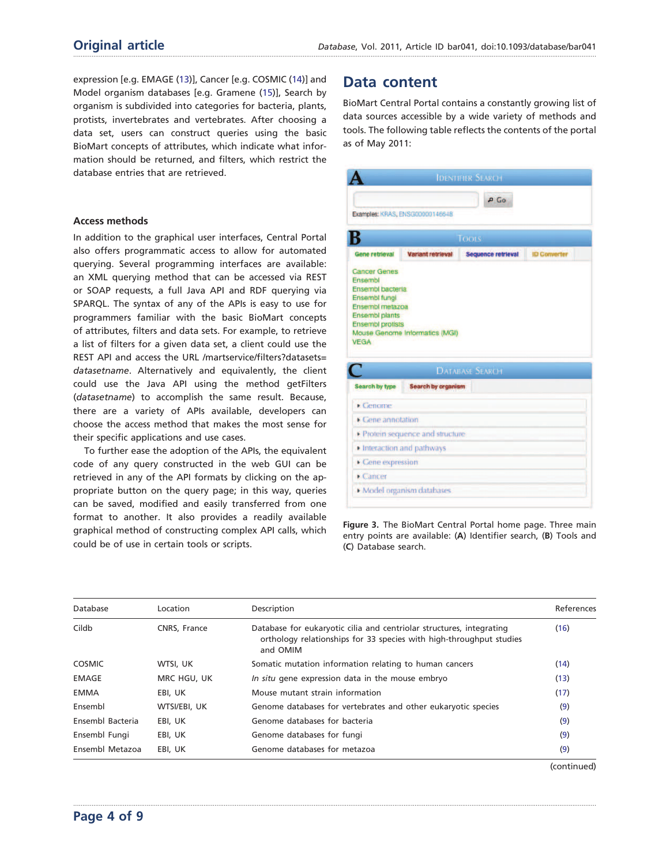<span id="page-4-0"></span>expression [e.g. EMAGE ([13](#page-9-0))], Cancer [e.g. COSMIC ([14](#page-9-0))] and Model organism databases [e.g. Gramene ([15](#page-9-0))], Search by organism is subdivided into categories for bacteria, plants, protists, invertebrates and vertebrates. After choosing a data set, users can construct queries using the basic BioMart concepts of attributes, which indicate what information should be returned, and filters, which restrict the database entries that are retrieved.

#### Access methods

In addition to the graphical user interfaces, Central Portal also offers programmatic access to allow for automated querying. Several programming interfaces are available: an XML querying method that can be accessed via REST or SOAP requests, a full Java API and RDF querying via SPARQL. The syntax of any of the APIs is easy to use for programmers familiar with the basic BioMart concepts of attributes, filters and data sets. For example, to retrieve a list of filters for a given data set, a client could use the REST API and access the URL /martservice/filters?datasets= datasetname. Alternatively and equivalently, the client could use the Java API using the method getFilters (datasetname) to accomplish the same result. Because, there are a variety of APIs available, developers can choose the access method that makes the most sense for their specific applications and use cases.

To further ease the adoption of the APIs, the equivalent code of any query constructed in the web GUI can be retrieved in any of the API formats by clicking on the appropriate button on the query page; in this way, queries can be saved, modified and easily transferred from one format to another. It also provides a readily available graphical method of constructing complex API calls, which could be of use in certain tools or scripts.

### Data content

BioMart Central Portal contains a constantly growing list of data sources accessible by a wide variety of methods and tools. The following table reflects the contents of the portal as of May 2011:

|                                                |                                  | <b>IDENTIFIER SEARCH</b>  |                     |
|------------------------------------------------|----------------------------------|---------------------------|---------------------|
|                                                |                                  | $D$ Go                    |                     |
|                                                | Examples: KRAS, ENSG00000146648  |                           |                     |
| Ŗ                                              |                                  |                           |                     |
|                                                |                                  | <b>TOOLS</b>              |                     |
| <b>Gene retrieval</b>                          | Variant retrieval                | <b>Sequence retrieval</b> | <b>ID Converter</b> |
| <b>Cancer Genes</b>                            |                                  |                           |                     |
| Ensembl                                        |                                  |                           |                     |
| <b>Ensembl bacteria</b>                        |                                  |                           |                     |
| <b>Ensembl fungl</b><br>Ensembl metazoa        |                                  |                           |                     |
| <b>Ensembl plants</b>                          |                                  |                           |                     |
|                                                |                                  |                           |                     |
|                                                |                                  |                           |                     |
|                                                | Mouse Genome Informatics (MGI)   |                           |                     |
| <b>Ensembl protists</b><br><b>VEGA</b>         |                                  |                           |                     |
|                                                |                                  |                           |                     |
|                                                |                                  | <b>DATABASE SEARCH</b>    |                     |
|                                                | Search by organism               |                           |                     |
| $E$ Cenome                                     |                                  |                           |                     |
| $\blacktriangleright$ Gene annotation          |                                  |                           |                     |
|                                                | Protein sequence and structure   |                           |                     |
|                                                | <b>Elnteraction and pathways</b> |                           |                     |
| Gene expression                                |                                  |                           |                     |
| Search by type<br>$\blacktriangleright$ Cancer |                                  |                           |                     |

Figure 3. The BioMart Central Portal home page. Three main entry points are available: (A) Identifier search, (B) Tools and (C) Database search.

| Database         | Location     | Description                                                                                                                                             | References |
|------------------|--------------|---------------------------------------------------------------------------------------------------------------------------------------------------------|------------|
| Cildb            | CNRS, France | Database for eukaryotic cilia and centriolar structures, integrating<br>orthology relationships for 33 species with high-throughput studies<br>and OMIM | (16)       |
| COSMIC           | WTSI, UK     | Somatic mutation information relating to human cancers                                                                                                  | (14)       |
| <b>EMAGE</b>     | MRC HGU, UK  | In situ gene expression data in the mouse embryo                                                                                                        | (13)       |
| <b>EMMA</b>      | EBI, UK      | Mouse mutant strain information                                                                                                                         | (17)       |
| Ensembl          | WTSI/EBI, UK | Genome databases for vertebrates and other eukaryotic species                                                                                           | (9)        |
| Ensembl Bacteria | EBI, UK      | Genome databases for bacteria                                                                                                                           | (9)        |
| Ensembl Fungi    | EBI, UK      | Genome databases for fungi                                                                                                                              | (9)        |
| Ensembl Metazoa  | EBI, UK      | Genome databases for metazoa                                                                                                                            | (9)        |

.............................................................................................................................................................................................................................................................................................

(continued)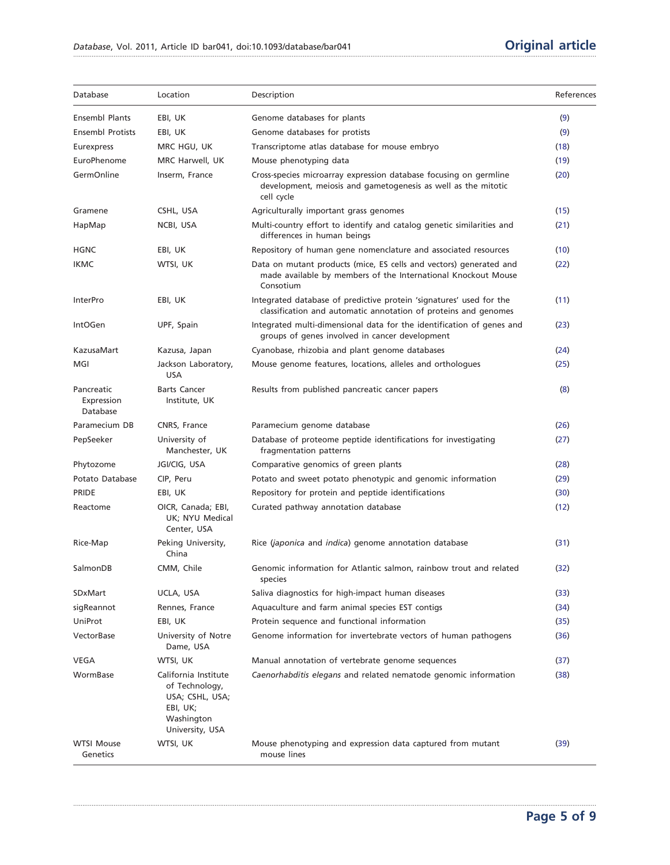| Database                             | Location<br>Description                                                                                |                                                                                                                                                  | References |
|--------------------------------------|--------------------------------------------------------------------------------------------------------|--------------------------------------------------------------------------------------------------------------------------------------------------|------------|
| <b>Ensembl Plants</b>                | EBI, UK                                                                                                | Genome databases for plants                                                                                                                      | (9)        |
| <b>Ensembl Protists</b>              | EBI, UK                                                                                                | Genome databases for protists                                                                                                                    | (9)        |
| Eurexpress                           | MRC HGU, UK                                                                                            | Transcriptome atlas database for mouse embryo                                                                                                    | (18)       |
| EuroPhenome                          | MRC Harwell, UK                                                                                        | Mouse phenotyping data                                                                                                                           | (19)       |
| GermOnline                           | Inserm, France                                                                                         | Cross-species microarray expression database focusing on germline<br>development, meiosis and gametogenesis as well as the mitotic<br>cell cycle | (20)       |
| Gramene                              | CSHL, USA                                                                                              | Agriculturally important grass genomes                                                                                                           | (15)       |
| HapMap                               | NCBI, USA                                                                                              | Multi-country effort to identify and catalog genetic similarities and<br>differences in human beings                                             | (21)       |
| <b>HGNC</b>                          | EBI, UK                                                                                                | Repository of human gene nomenclature and associated resources                                                                                   | (10)       |
| <b>IKMC</b>                          | WTSI, UK                                                                                               | Data on mutant products (mice, ES cells and vectors) generated and<br>made available by members of the International Knockout Mouse<br>Consotium | (22)       |
| <b>InterPro</b>                      | EBI, UK                                                                                                | Integrated database of predictive protein 'signatures' used for the<br>classification and automatic annotation of proteins and genomes           | (11)       |
| <b>IntOGen</b>                       | UPF, Spain                                                                                             | Integrated multi-dimensional data for the identification of genes and<br>groups of genes involved in cancer development                          | (23)       |
| KazusaMart                           | Kazusa, Japan                                                                                          | Cyanobase, rhizobia and plant genome databases                                                                                                   | (24)       |
| MGI                                  | Jackson Laboratory,<br><b>USA</b>                                                                      | Mouse genome features, locations, alleles and orthologues                                                                                        | (25)       |
| Pancreatic<br>Expression<br>Database | <b>Barts Cancer</b><br>Institute, UK                                                                   | Results from published pancreatic cancer papers                                                                                                  | (8)        |
| Paramecium DB                        | CNRS, France                                                                                           | Paramecium genome database                                                                                                                       | (26)       |
| PepSeeker                            | University of<br>Manchester, UK                                                                        | Database of proteome peptide identifications for investigating<br>fragmentation patterns                                                         | (27)       |
| Phytozome                            | JGI/CIG, USA                                                                                           | Comparative genomics of green plants                                                                                                             | (28)       |
| Potato Database                      | CIP, Peru                                                                                              | Potato and sweet potato phenotypic and genomic information                                                                                       | (29)       |
| <b>PRIDE</b>                         | EBI, UK                                                                                                | Repository for protein and peptide identifications                                                                                               | (30)       |
| Reactome                             | OICR, Canada; EBI,<br>UK; NYU Medical<br>Center, USA                                                   | Curated pathway annotation database                                                                                                              | (12)       |
| Rice-Map                             | Peking University,<br>China                                                                            | Rice ( <i>japonica</i> and <i>indica</i> ) genome annotation database                                                                            | (31)       |
| SalmonDB                             | CMM, Chile                                                                                             | Genomic information for Atlantic salmon, rainbow trout and related<br>species                                                                    | (32)       |
| SDxMart                              | UCLA, USA                                                                                              | Saliva diagnostics for high-impact human diseases                                                                                                | (33)       |
| sigReannot                           | Rennes, France                                                                                         | Aquaculture and farm animal species EST contigs                                                                                                  | (34)       |
| UniProt                              | EBI, UK                                                                                                | Protein sequence and functional information                                                                                                      | (35)       |
| VectorBase                           | University of Notre<br>Dame, USA                                                                       | Genome information for invertebrate vectors of human pathogens                                                                                   | (36)       |
| VEGA                                 | WTSI, UK                                                                                               | Manual annotation of vertebrate genome sequences                                                                                                 | (37)       |
| WormBase                             | California Institute<br>of Technology,<br>USA; CSHL, USA;<br>EBI, UK;<br>Washington<br>University, USA | Caenorhabditis elegans and related nematode genomic information                                                                                  | (38)       |
| <b>WTSI Mouse</b><br>Genetics        | WTSI, UK                                                                                               | Mouse phenotyping and expression data captured from mutant<br>mouse lines                                                                        | (39)       |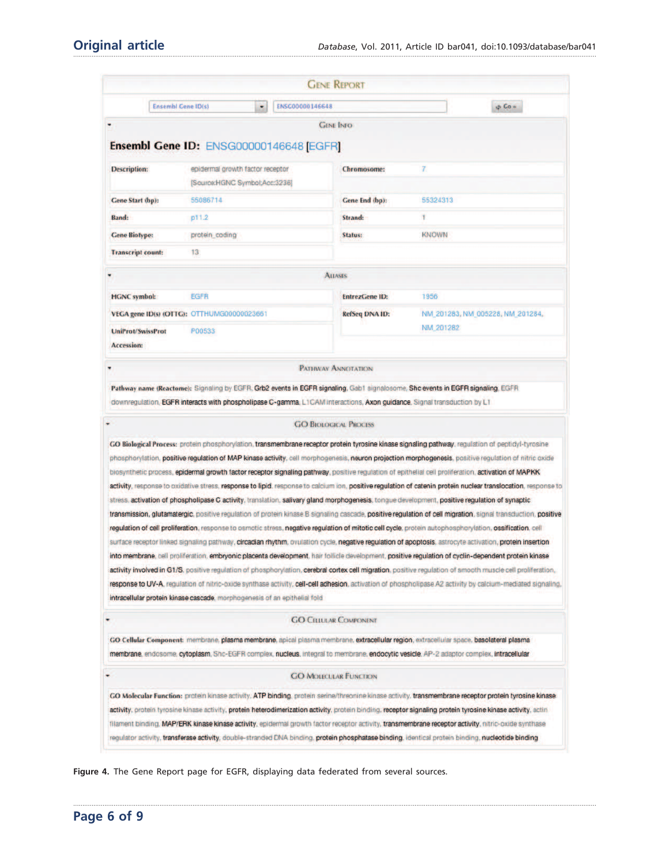<span id="page-6-0"></span>

|                                               |                                                                                                                                                                                                                                                                                                                                                                                                                                                                                                                                                 |                               |                 | <b>GENE REPORT</b>                                        |              |                                                                                                                                                                                                                                                                                                                                                                                                                                                                                                                                                                                                                                                      |
|-----------------------------------------------|-------------------------------------------------------------------------------------------------------------------------------------------------------------------------------------------------------------------------------------------------------------------------------------------------------------------------------------------------------------------------------------------------------------------------------------------------------------------------------------------------------------------------------------------------|-------------------------------|-----------------|-----------------------------------------------------------|--------------|------------------------------------------------------------------------------------------------------------------------------------------------------------------------------------------------------------------------------------------------------------------------------------------------------------------------------------------------------------------------------------------------------------------------------------------------------------------------------------------------------------------------------------------------------------------------------------------------------------------------------------------------------|
|                                               | <b>Ensembl Gene ID(s)</b>                                                                                                                                                                                                                                                                                                                                                                                                                                                                                                                       | ٠                             | ENSC00000146648 |                                                           |              | $0.50 -$                                                                                                                                                                                                                                                                                                                                                                                                                                                                                                                                                                                                                                             |
|                                               | Ensembl Gene ID: ENSG00000146648 [EGFR]                                                                                                                                                                                                                                                                                                                                                                                                                                                                                                         |                               |                 | <b>GENE INFO</b>                                          |              |                                                                                                                                                                                                                                                                                                                                                                                                                                                                                                                                                                                                                                                      |
| <b>Description:</b>                           | epidermal growth factor receptor                                                                                                                                                                                                                                                                                                                                                                                                                                                                                                                | [Source:HGNC Symbol:Acc:3236] |                 | <b>Chromosome:</b>                                        | 7.           |                                                                                                                                                                                                                                                                                                                                                                                                                                                                                                                                                                                                                                                      |
| Gene Start (bp):                              | 55086714                                                                                                                                                                                                                                                                                                                                                                                                                                                                                                                                        |                               |                 | Gene End (bp):                                            | 55324313     |                                                                                                                                                                                                                                                                                                                                                                                                                                                                                                                                                                                                                                                      |
| <b>Band:</b>                                  | p11.2                                                                                                                                                                                                                                                                                                                                                                                                                                                                                                                                           |                               |                 | Strand:                                                   | 1            |                                                                                                                                                                                                                                                                                                                                                                                                                                                                                                                                                                                                                                                      |
| <b>Gene Biotype:</b>                          | protein coding                                                                                                                                                                                                                                                                                                                                                                                                                                                                                                                                  |                               |                 | Status:                                                   | <b>KNOWN</b> |                                                                                                                                                                                                                                                                                                                                                                                                                                                                                                                                                                                                                                                      |
| <b>Transcript count:</b>                      | 13                                                                                                                                                                                                                                                                                                                                                                                                                                                                                                                                              |                               |                 |                                                           |              |                                                                                                                                                                                                                                                                                                                                                                                                                                                                                                                                                                                                                                                      |
|                                               |                                                                                                                                                                                                                                                                                                                                                                                                                                                                                                                                                 |                               |                 | <b>ALIASES</b>                                            |              |                                                                                                                                                                                                                                                                                                                                                                                                                                                                                                                                                                                                                                                      |
| <b>HGNC</b> symbol:                           | <b>EGFR</b>                                                                                                                                                                                                                                                                                                                                                                                                                                                                                                                                     |                               |                 | <b>EntrezGene ID:</b>                                     | 1956         |                                                                                                                                                                                                                                                                                                                                                                                                                                                                                                                                                                                                                                                      |
|                                               | VEGA gene ID(s) (OTTG): OTTHUMG00000023661                                                                                                                                                                                                                                                                                                                                                                                                                                                                                                      |                               |                 | <b>RefSeq DNA ID:</b>                                     |              | NM_201283, NM_005228, NM_201284,                                                                                                                                                                                                                                                                                                                                                                                                                                                                                                                                                                                                                     |
| <b>UniProt/SwissProt</b><br><b>Accession:</b> | P00533                                                                                                                                                                                                                                                                                                                                                                                                                                                                                                                                          |                               |                 |                                                           | NM 201282    |                                                                                                                                                                                                                                                                                                                                                                                                                                                                                                                                                                                                                                                      |
|                                               | Pathway name (Reactome): Signaling by EGFR, Grb2 events in EGFR signaling, Gab1 signalosome, Shc events in EGFR signaling, EGFR<br>downregulation. EGFR interacts with phospholipase C-gamma, L1CAM interactions, Axon guidance, Signal transduction by L1<br>biosynthetic process, epidermal growth factor receptor signaling pathway, positive regulation of epithelial cell proliferation, activation of MAPKK                                                                                                                               |                               |                 | <b>PATHWAY ANNOTATION</b><br><b>GO BIOLOGICAL PROCESS</b> |              | GO Biological Process: protein phosphorylation, transmembrane receptor protein tyrosine kinase signaling pathway, regulation of peptidyl-tyrosine<br>phosphorylation, positive regulation of MAP kinase activity, cell morphogenesis, neuron projection morphogenesis, positive regulation of nitric oxide<br>activity, response to oxidative stress, response to lipid, response to calcium ion, positive regulation of catenin protein nuclear translocation, response to                                                                                                                                                                          |
|                                               | stress, activation of phospholipase C activity, translation, salivary gland morphogenesis, tongue development, positive regulation of synaptic<br>regulation of cell proliferation, response to osmotic stress, negative regulation of mitotic cell cycle, protein autophosphorylation, ossification, cell<br>into membrane, cell proliferation, embryonic placenta development, hair follicle development, positive regulation of cyclin-dependent protein kinase<br>intracellular protein kinase cascade, morphogenesis of an epithelial fold |                               |                 |                                                           |              | transmission, glutamatergic, positive regulation of protein kinase B signaling cascade, positive regulation of cell migration, signal transduction, positive<br>surface receptor linked signaling pathway, circadian rhythm, ovulation cycle, negative regulation of apoptosis, astrocyte activation, protein insertion<br>activity involved in G1/S, positive regulation of phosphorylation, cerebral cortex cell migration, positive regulation of smooth muscle cell proliferation,<br>response to UV-A, requiation of nitric-oxide synthase activity, cell-cell adhesion, activation of phospholipase A2 activity by calcium-mediated signaling, |
|                                               |                                                                                                                                                                                                                                                                                                                                                                                                                                                                                                                                                 |                               |                 | <b>GO CELLUAR COMPONENT</b>                               |              |                                                                                                                                                                                                                                                                                                                                                                                                                                                                                                                                                                                                                                                      |
|                                               | GO Cellular Component: membrane, plasma membrane, apical plasma membrane, extracellular region, extracellular space, basolateral plasma<br>membrane, endosome, cytoplasm, Shc-EGFR complex, nucleus, integral to membrane, endocytic vesicle, AP-2 adaptor complex, intracellular                                                                                                                                                                                                                                                               |                               |                 |                                                           |              |                                                                                                                                                                                                                                                                                                                                                                                                                                                                                                                                                                                                                                                      |
|                                               |                                                                                                                                                                                                                                                                                                                                                                                                                                                                                                                                                 |                               |                 | <b>GO MOLECULAR FUNCTION</b>                              |              |                                                                                                                                                                                                                                                                                                                                                                                                                                                                                                                                                                                                                                                      |
|                                               | activity, protein tyrosine kinase activity, protein heterodimerization activity, protein binding, receptor signaling protein tyrosine kinase activity, actin<br>filament binding, MAP/ERK kinase kinase activity, epidermal growth factor receptor activity, transmembrane receptor activity, nitric-oxide synthase<br>regulator activity, transferase activity, double-stranded DNA binding, protein phosphatase binding, identical protein binding, nucleotide binding                                                                        |                               |                 |                                                           |              | GO Molecular Function: protein kinase activity. ATP binding, protein serine/threonine kinase activity, transmembrane receptor protein tyrosine kinase                                                                                                                                                                                                                                                                                                                                                                                                                                                                                                |

Figure 4. The Gene Report page for EGFR, displaying data federated from several sources.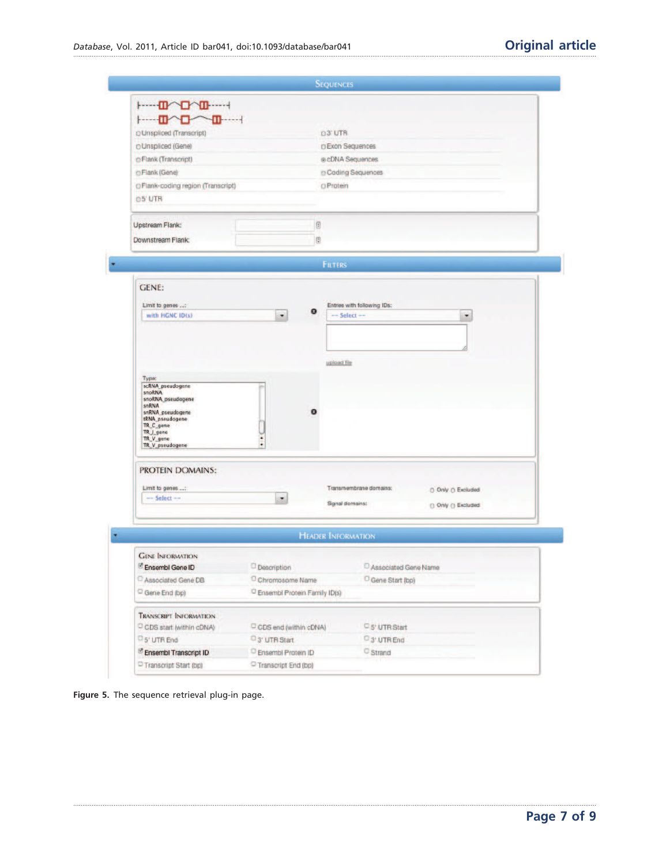<span id="page-7-0"></span>

|                                                                                                                                                                                                                                                                                                                                                     |                                           |             | <b>SEQUENCES</b>             |                                               |  |  |
|-----------------------------------------------------------------------------------------------------------------------------------------------------------------------------------------------------------------------------------------------------------------------------------------------------------------------------------------------------|-------------------------------------------|-------------|------------------------------|-----------------------------------------------|--|--|
| $\begin{picture}(120,115) \put(0,0){\line(1,0){10}} \put(15,0){\line(1,0){10}} \put(15,0){\line(1,0){10}} \put(15,0){\line(1,0){10}} \put(15,0){\line(1,0){10}} \put(15,0){\line(1,0){10}} \put(15,0){\line(1,0){10}} \put(15,0){\line(1,0){10}} \put(15,0){\line(1,0){10}} \put(15,0){\line(1,0){10}} \put(15,0){\line(1,0){10}} \put(15,0){\line$ |                                           |             |                              |                                               |  |  |
|                                                                                                                                                                                                                                                                                                                                                     |                                           |             |                              |                                               |  |  |
| O Unspliced (Transcript)                                                                                                                                                                                                                                                                                                                            |                                           |             | 03' UTR                      |                                               |  |  |
| O Unspliced (Gene)                                                                                                                                                                                                                                                                                                                                  |                                           |             | <b>D</b> Exon Sequences      |                                               |  |  |
| <b>O Flank (Transcript)</b>                                                                                                                                                                                                                                                                                                                         |                                           |             | @ cDNA Sequences             |                                               |  |  |
| O Flank (Gene)                                                                                                                                                                                                                                                                                                                                      |                                           |             | Coding Sequences             |                                               |  |  |
| O Flank-coding region (Transcript)                                                                                                                                                                                                                                                                                                                  |                                           |             | O Protein                    |                                               |  |  |
| <b>OS'UTR</b>                                                                                                                                                                                                                                                                                                                                       |                                           |             |                              |                                               |  |  |
| <b>Upstream Flank:</b>                                                                                                                                                                                                                                                                                                                              |                                           | $\boxed{3}$ |                              |                                               |  |  |
| Downstream Flank:                                                                                                                                                                                                                                                                                                                                   |                                           | Θ           |                              |                                               |  |  |
|                                                                                                                                                                                                                                                                                                                                                     |                                           |             | <b>FILTERS</b>               |                                               |  |  |
| <b>GENE:</b>                                                                                                                                                                                                                                                                                                                                        |                                           |             |                              |                                               |  |  |
| Limit to genes :                                                                                                                                                                                                                                                                                                                                    |                                           |             | Entries with following IDs:  |                                               |  |  |
| with HGNC ID(s)                                                                                                                                                                                                                                                                                                                                     | ٠                                         | ۰           | $-$ Select $-$               |                                               |  |  |
| Type:                                                                                                                                                                                                                                                                                                                                               |                                           |             | upload file                  |                                               |  |  |
| scRNA pseudogene<br>snoRNA<br>snoRNA pseudogene<br>snRNA<br>snRNA pseudogene<br>tRNA pseudogene<br>TR <sub>C</sub> gene<br>TR J_gene<br>TR V_gene<br>TR V_pseudogene                                                                                                                                                                                | ٠                                         | ٥           |                              |                                               |  |  |
| <b>PROTEIN DOMAINS:</b>                                                                                                                                                                                                                                                                                                                             |                                           |             |                              |                                               |  |  |
| Limit to genes ;                                                                                                                                                                                                                                                                                                                                    |                                           |             | Transmembrane domains:       |                                               |  |  |
| $-$ Select $-$                                                                                                                                                                                                                                                                                                                                      | ٠                                         |             | Signal domains:              | O Only O Excluded<br><b>Q Only C Excluded</b> |  |  |
|                                                                                                                                                                                                                                                                                                                                                     |                                           |             | <b>HEADER INFORMATION</b>    |                                               |  |  |
| <b>GENE INFORMATION</b>                                                                                                                                                                                                                                                                                                                             |                                           |             |                              |                                               |  |  |
| Ensembl Gene ID                                                                                                                                                                                                                                                                                                                                     | $\Box$ Description                        |             | $\Box$ Associated Gene Name  |                                               |  |  |
| Associated Gene DB                                                                                                                                                                                                                                                                                                                                  | Chromosome Name                           |             | <sup>C</sup> Gene Start (bp) |                                               |  |  |
|                                                                                                                                                                                                                                                                                                                                                     | <sup>C</sup> Ensembl Protein Family ID(s) |             |                              |                                               |  |  |
| Gene End (bp)<br><b>TRANSCRIPT INFORMATION</b>                                                                                                                                                                                                                                                                                                      |                                           |             |                              |                                               |  |  |
| CDS start (within cDNA)                                                                                                                                                                                                                                                                                                                             | CCDS end (within cDNA)                    |             | G <sub>5'</sub> UTR Start    |                                               |  |  |
| <sup>C</sup> <sub>5'</sub> UTR End<br>Ensembl Transcript ID                                                                                                                                                                                                                                                                                         | 3' UTR Start<br>Ensembl Protein ID        |             | 3' UTR End<br>Strand         |                                               |  |  |

Figure 5. The sequence retrieval plug-in page.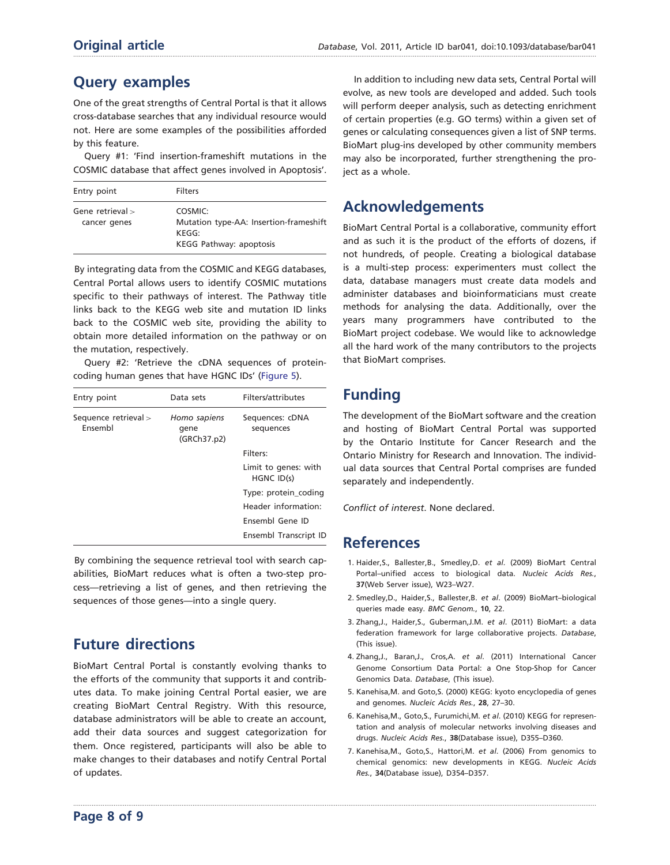## <span id="page-8-0"></span>Query examples

One of the great strengths of Central Portal is that it allows cross-database searches that any individual resource would not. Here are some examples of the possibilities afforded by this feature.

Query #1: 'Find insertion-frameshift mutations in the COSMIC database that affect genes involved in Apoptosis'.

| Entry point                      | <b>Filters</b>                                                                        |
|----------------------------------|---------------------------------------------------------------------------------------|
| Gene retrieval ><br>cancer genes | COSMIC:<br>Mutation type-AA: Insertion-frameshift<br>KFGG:<br>KEGG Pathway: apoptosis |

By integrating data from the COSMIC and KEGG databases, Central Portal allows users to identify COSMIC mutations specific to their pathways of interest. The Pathway title links back to the KEGG web site and mutation ID links back to the COSMIC web site, providing the ability to obtain more detailed information on the pathway or on the mutation, respectively.

Query #2: 'Retrieve the cDNA sequences of proteincoding human genes that have HGNC IDs' ([Figure 5\)](#page-7-0).

| Entry point                     | Data sets                           | Filters/attributes                       |
|---------------------------------|-------------------------------------|------------------------------------------|
| Sequence retrieval ><br>Ensembl | Homo sapiens<br>gene<br>(GRCh37.p2) | Sequences: cDNA<br>sequences             |
|                                 |                                     | Filters:                                 |
|                                 |                                     | Limit to genes: with<br>$H GNC$ ID $(s)$ |
|                                 |                                     | Type: protein coding                     |
|                                 |                                     | Header information:                      |
|                                 |                                     | Ensembl Gene ID                          |
|                                 |                                     | Ensembl Transcript ID                    |

By combining the sequence retrieval tool with search capabilities, BioMart reduces what is often a two-step process—retrieving a list of genes, and then retrieving the sequences of those genes—into a single query.

# Future directions

BioMart Central Portal is constantly evolving thanks to the efforts of the community that supports it and contributes data. To make joining Central Portal easier, we are creating BioMart Central Registry. With this resource, database administrators will be able to create an account, add their data sources and suggest categorization for them. Once registered, participants will also be able to make changes to their databases and notify Central Portal of updates.

In addition to including new data sets, Central Portal will evolve, as new tools are developed and added. Such tools will perform deeper analysis, such as detecting enrichment of certain properties (e.g. GO terms) within a given set of genes or calculating consequences given a list of SNP terms. BioMart plug-ins developed by other community members may also be incorporated, further strengthening the project as a whole.

# Acknowledgements

BioMart Central Portal is a collaborative, community effort and as such it is the product of the efforts of dozens, if not hundreds, of people. Creating a biological database is a multi-step process: experimenters must collect the data, database managers must create data models and administer databases and bioinformaticians must create methods for analysing the data. Additionally, over the years many programmers have contributed to the BioMart project codebase. We would like to acknowledge all the hard work of the many contributors to the projects that BioMart comprises.

# Funding

The development of the BioMart software and the creation and hosting of BioMart Central Portal was supported by the Ontario Institute for Cancer Research and the Ontario Ministry for Research and Innovation. The individual data sources that Central Portal comprises are funded separately and independently.

Conflict of interest. None declared.

## References

- 1. Haider,S., Ballester,B., Smedley,D. et al. (2009) BioMart Central Portal–unified access to biological data. Nucleic Acids Res., 37(Web Server issue), W23–W27.
- 2. Smedley,D., Haider,S., Ballester,B. et al. (2009) BioMart–biological queries made easy. BMC Genom., 10, 22.
- 3. Zhang,J., Haider,S., Guberman,J.M. et al. (2011) BioMart: a data federation framework for large collaborative projects. Database, (This issue).
- 4. Zhang,J., Baran,J., Cros,A. et al. (2011) International Cancer Genome Consortium Data Portal: a One Stop-Shop for Cancer Genomics Data. Database, (This issue).
- 5. Kanehisa,M. and Goto,S. (2000) KEGG: kyoto encyclopedia of genes and genomes. Nucleic Acids Res., 28, 27–30.
- 6. Kanehisa,M., Goto,S., Furumichi,M. et al. (2010) KEGG for representation and analysis of molecular networks involving diseases and drugs. Nucleic Acids Res., 38(Database issue), D355–D360.
- 7. Kanehisa,M., Goto,S., Hattori,M. et al. (2006) From genomics to chemical genomics: new developments in KEGG. Nucleic Acids Res., 34(Database issue), D354–D357.